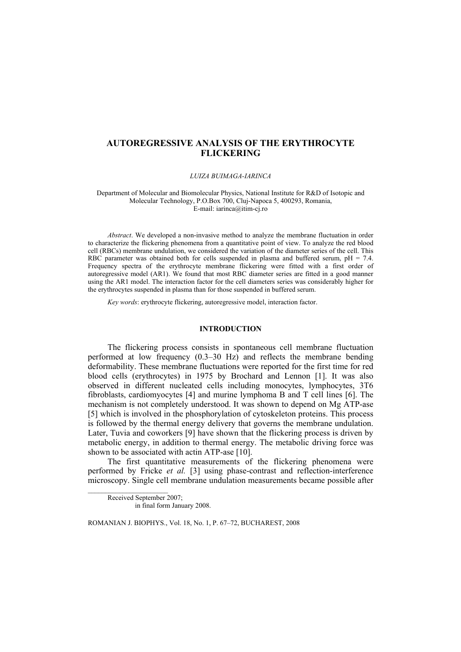# **AUTOREGRESSIVE ANALYSIS OF THE ERYTHROCYTE FLICKERING**

#### LUIZA BUIMAGA-JARINCA

#### Department of Molecular and Biomolecular Physics, National Institute for R&D of Isotopic and Molecular Technology, P.O.Box 700, Cluj-Napoca 5, 400293, Romania, E-mail: iarinca@itim-cj.ro

Abstract. We developed a non-invasive method to analyze the membrane fluctuation in order to characterize the flickering phenomena from a quantitative point of view. To analyze the red blood cell (RBCs) membrane undulation, we considered the variation of the diameter series of the cell. This RBC parameter was obtained both for cells suspended in plasma and buffered serum,  $pH = 7.4$ . Frequency spectra of the erythrocyte membrane flickering were fitted with a first order of autoregressive model (AR1). We found that most RBC diameter series are fitted in a good manner using the AR1 model. The interaction factor for the cell diameters series was considerably higher for the erythrocytes suspended in plasma than for those suspended in buffered serum.

Key words: erythrocyte flickering, autoregressive model, interaction factor.

## **INTRODUCTION**

The flickering process consists in spontaneous cell membrane fluctuation performed at low frequency  $(0.3-30 \text{ Hz})$  and reflects the membrane bending deformability. These membrane fluctuations were reported for the first time for red blood cells (erythrocytes) in 1975 by Brochard and Lennon [1]. It was also observed in different nucleated cells including monocytes, lymphocytes, 3T6 fibroblasts, cardiomyocytes [4] and murine lymphoma B and T cell lines [6]. The mechanism is not completely understood. It was shown to depend on Mg ATP-ase [5] which is involved in the phosphorylation of cytoskeleton proteins. This process is followed by the thermal energy delivery that governs the membrane undulation. Later, Tuvia and coworkers [9] have shown that the flickering process is driven by metabolic energy, in addition to thermal energy. The metabolic driving force was shown to be associated with actin ATP-ase [10].

The first quantitative measurements of the flickering phenomena were performed by Fricke et al. [3] using phase-contrast and reflection-interference microscopy. Single cell membrane undulation measurements became possible after

Received September 2007: in final form January 2008.

ROMANIAN J. BIOPHYS., Vol. 18, No. 1, P. 67-72, BUCHAREST, 2008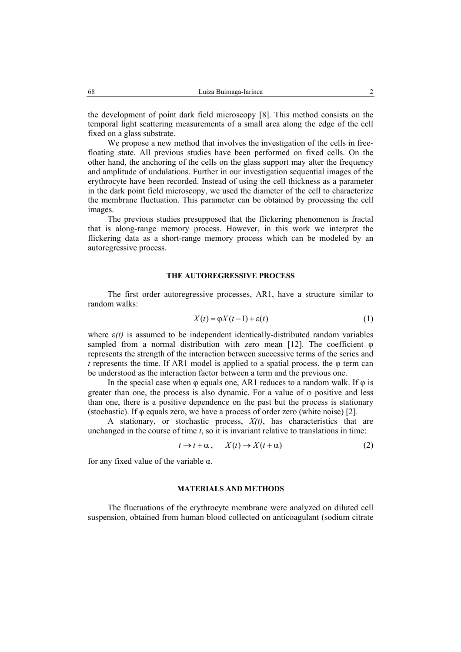the development of point dark field microscopy [8]. This method consists on the temporal light scattering measurements of a small area along the edge of the cell fixed on a glass substrate.

We propose a new method that involves the investigation of the cells in freefloating state. All previous studies have been performed on fixed cells. On the other hand, the anchoring of the cells on the glass support may alter the frequency and amplitude of undulations. Further in our investigation sequential images of the erythrocyte have been recorded. Instead of using the cell thickness as a parameter in the dark point field microscopy, we used the diameter of the cell to characterize the membrane fluctuation. This parameter can be obtained by processing the cell images.

The previous studies presupposed that the flickering phenomenon is fractal that is along-range memory process. However, in this work we interpret the flickering data as a short-range memory process which can be modeled by an autoregressive process.

## THE AUTOREGRESSIVE PROCESS

The first order autoregressive processes, AR1, have a structure similar to random walks:

$$
X(t) = \varphi X(t-1) + \varepsilon(t) \tag{1}
$$

where  $\varepsilon(t)$  is assumed to be independent identically-distributed random variables sampled from a normal distribution with zero mean  $[12]$ . The coefficient  $\varphi$ represents the strength of the interaction between successive terms of the series and  $t$  represents the time. If AR1 model is applied to a spatial process, the  $\varphi$  term can be understood as the interaction factor between a term and the previous one.

In the special case when  $\varphi$  equals one, AR1 reduces to a random walk. If  $\varphi$  is greater than one, the process is also dynamic. For a value of  $\varphi$  positive and less than one, there is a positive dependence on the past but the process is stationary (stochastic). If  $\varphi$  equals zero, we have a process of order zero (white noise) [2].

A stationary, or stochastic process,  $X(t)$ , has characteristics that are unchanged in the course of time  $t$ , so it is invariant relative to translations in time:

$$
t \to t + \alpha, \qquad X(t) \to X(t + \alpha) \tag{2}
$$

for any fixed value of the variable  $\alpha$ .

### **MATERIALS AND METHODS**

The fluctuations of the erythrocyte membrane were analyzed on diluted cell suspension, obtained from human blood collected on anticoagulant (sodium citrate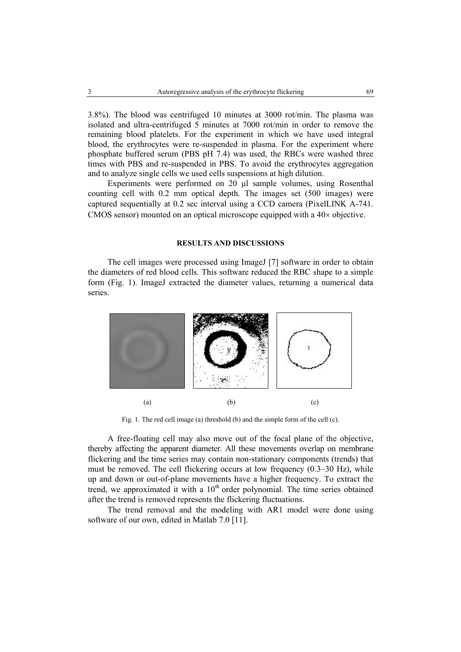3.8%). The blood was centrifuged 10 minutes at 3000 rot/min. The plasma was isolated and ultra-centrifuged 5 minutes at 7000 rot/min in order to remove the remaining blood platelets. For the experiment in which we have used integral blood, the erythrocytes were re-suspended in plasma. For the experiment where phosphate buffered serum (PBS pH 7.4) was used, the RBCs were washed three times with PBS and re-suspended in PBS. To avoid the erythrocytes aggregation and to analyze single cells we used cells suspensions at high dilution.

Experiments were performed on 20 µl sample volumes, using Rosenthal counting cell with 0.2 mm optical depth. The images set (500 images) were captured sequentially at 0.2 sec interval using a CCD camera (PixelLINK A-741. CMOS sensor) mounted on an optical microscope equipped with a  $40\times$  objective.

#### **RESULTS AND DISCUSSIONS**

The cell images were processed using ImageJ [7] software in order to obtain the diameters of red blood cells. This software reduced the RBC shape to a simple form (Fig. 1). ImageJ extracted the diameter values, returning a numerical data series.



Fig. 1. The red cell image (a) threshold (b) and the simple form of the cell (c).

A free-floating cell may also move out of the focal plane of the objective. thereby affecting the apparent diameter. All these movements overlap on membrane flickering and the time series may contain non-stationary components (trends) that must be removed. The cell flickering occurs at low frequency  $(0.3-30 \text{ Hz})$ , while up and down or out-of-plane movements have a higher frequency. To extract the trend, we approximated it with a 10<sup>th</sup> order polynomial. The time series obtained after the trend is removed represents the flickering fluctuations.

The trend removal and the modeling with AR1 model were done using software of our own, edited in Matlab 7.0 [11].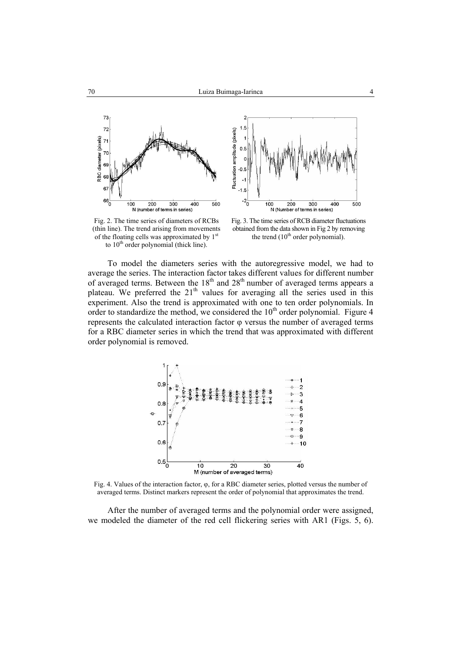I.



Fluctuation amplitude (pixels)  $0.5$ n i 200  $300$  $40<sub>C</sub>$  $\overline{500}$ 100 N (Number of terms in series)

Fig. 2. The time series of diameters of RCBs (thin line). The trend arising from movements of the floating cells was approximated by 1<sup>st</sup> to  $10<sup>th</sup>$  order polynomial (thick line).

Fig. 3. The time series of RCB diameter fluctuations obtained from the data shown in Fig 2 by removing the trend  $(10^{th}$  order polynomial).

To model the diameters series with the autoregressive model, we had to average the series. The interaction factor takes different values for different number of averaged terms. Between the 18<sup>th</sup> and 28<sup>th</sup> number of averaged terms appears a plateau. We preferred the 21<sup>th</sup> values for averaging all the series used in this experiment. Also the trend is approximated with one to ten order polynomials. In order to standardize the method, we considered the 10<sup>th</sup> order polynomial. Figure 4 represents the calculated interaction factor  $\varphi$  versus the number of averaged terms for a RBC diameter series in which the trend that was approximated with different order polynomial is removed.



Fig. 4. Values of the interaction factor,  $\varphi$ , for a RBC diameter series, plotted versus the number of averaged terms. Distinct markers represent the order of polynomial that approximates the trend.

After the number of averaged terms and the polynomial order were assigned, we modeled the diameter of the red cell flickering series with AR1 (Figs. 5, 6).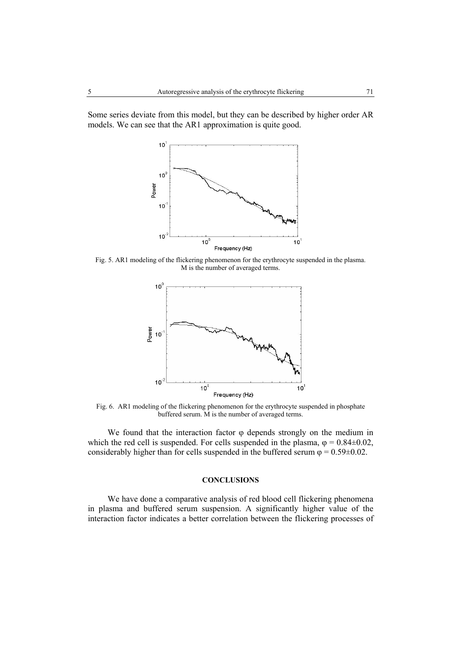Some series deviate from this model, but they can be described by higher order AR models. We can see that the AR1 approximation is quite good.



Fig. 5. AR1 modeling of the flickering phenomenon for the erythrocyte suspended in the plasma. M is the number of averaged terms.



Fig. 6. AR1 modeling of the flickering phenomenon for the erythrocyte suspended in phosphate buffered serum. M is the number of averaged terms.

We found that the interaction factor  $\varphi$  depends strongly on the medium in which the red cell is suspended. For cells suspended in the plasma,  $\varphi = 0.84 \pm 0.02$ , considerably higher than for cells suspended in the buffered serum  $\varphi = 0.59 \pm 0.02$ .

## **CONCLUSIONS**

We have done a comparative analysis of red blood cell flickering phenomena in plasma and buffered serum suspension. A significantly higher value of the interaction factor indicates a better correlation between the flickering processes of